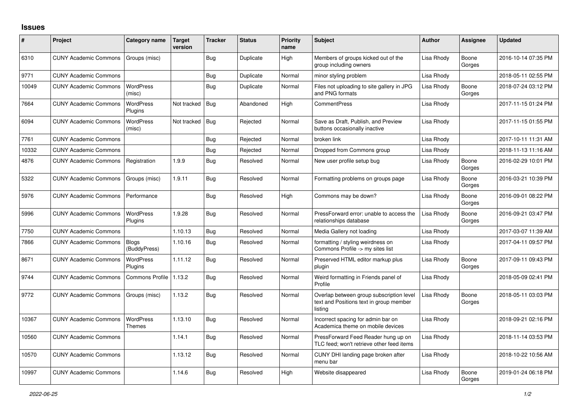## **Issues**

| $\vert$ # | Project                      | Category name                | Target<br>version | <b>Tracker</b> | <b>Status</b> | Priority<br>name | <b>Subject</b>                                                                                 | <b>Author</b> | <b>Assignee</b> | <b>Updated</b>      |
|-----------|------------------------------|------------------------------|-------------------|----------------|---------------|------------------|------------------------------------------------------------------------------------------------|---------------|-----------------|---------------------|
| 6310      | <b>CUNY Academic Commons</b> | Groups (misc)                |                   | Bug            | Duplicate     | High             | Members of groups kicked out of the<br>group including owners                                  | Lisa Rhody    | Boone<br>Gorges | 2016-10-14 07:35 PM |
| 9771      | <b>CUNY Academic Commons</b> |                              |                   | Bug            | Duplicate     | Normal           | minor styling problem                                                                          | Lisa Rhody    |                 | 2018-05-11 02:55 PM |
| 10049     | <b>CUNY Academic Commons</b> | WordPress<br>(misc)          |                   | Bug            | Duplicate     | Normal           | Files not uploading to site gallery in JPG<br>and PNG formats                                  | Lisa Rhody    | Boone<br>Gorges | 2018-07-24 03:12 PM |
| 7664      | <b>CUNY Academic Commons</b> | WordPress<br>Plugins         | Not tracked       | Bug            | Abandoned     | High             | <b>CommentPress</b>                                                                            | Lisa Rhody    |                 | 2017-11-15 01:24 PM |
| 6094      | <b>CUNY Academic Commons</b> | WordPress<br>(misc)          | Not tracked       | Bug            | Rejected      | Normal           | Save as Draft, Publish, and Preview<br>buttons occasionally inactive                           | Lisa Rhody    |                 | 2017-11-15 01:55 PM |
| 7761      | <b>CUNY Academic Commons</b> |                              |                   | Bug            | Rejected      | Normal           | broken link                                                                                    | Lisa Rhody    |                 | 2017-10-11 11:31 AM |
| 10332     | <b>CUNY Academic Commons</b> |                              |                   | Bug            | Rejected      | Normal           | Dropped from Commons group                                                                     | Lisa Rhody    |                 | 2018-11-13 11:16 AM |
| 4876      | <b>CUNY Academic Commons</b> | Registration                 | 1.9.9             | Bug            | Resolved      | Normal           | New user profile setup bug                                                                     | Lisa Rhody    | Boone<br>Gorges | 2016-02-29 10:01 PM |
| 5322      | <b>CUNY Academic Commons</b> | Groups (misc)                | 1.9.11            | <b>Bug</b>     | Resolved      | Normal           | Formatting problems on groups page                                                             | Lisa Rhody    | Boone<br>Gorges | 2016-03-21 10:39 PM |
| 5976      | <b>CUNY Academic Commons</b> | Performance                  |                   | Bug            | Resolved      | High             | Commons may be down?                                                                           | Lisa Rhody    | Boone<br>Gorges | 2016-09-01 08:22 PM |
| 5996      | <b>CUNY Academic Commons</b> | WordPress<br>Plugins         | 1.9.28            | Bug            | Resolved      | Normal           | PressForward error: unable to access the<br>relationships database                             | Lisa Rhody    | Boone<br>Gorges | 2016-09-21 03:47 PM |
| 7750      | <b>CUNY Academic Commons</b> |                              | 1.10.13           | <b>Bug</b>     | Resolved      | Normal           | Media Gallery not loading                                                                      | Lisa Rhody    |                 | 2017-03-07 11:39 AM |
| 7866      | <b>CUNY Academic Commons</b> | <b>Blogs</b><br>(BuddyPress) | 1.10.16           | Bug            | Resolved      | Normal           | formatting / styling weirdness on<br>Commons Profile -> my sites list                          | Lisa Rhody    |                 | 2017-04-11 09:57 PM |
| 8671      | <b>CUNY Academic Commons</b> | WordPress<br>Plugins         | 1.11.12           | Bug            | Resolved      | Normal           | Preserved HTML editor markup plus<br>plugin                                                    | Lisa Rhody    | Boone<br>Gorges | 2017-09-11 09:43 PM |
| 9744      | <b>CUNY Academic Commons</b> | <b>Commons Profile</b>       | 1.13.2            | Bug            | Resolved      | Normal           | Weird formatting in Friends panel of<br>Profile                                                | Lisa Rhody    |                 | 2018-05-09 02:41 PM |
| 9772      | <b>CUNY Academic Commons</b> | Groups (misc)                | 1.13.2            | Bug            | Resolved      | Normal           | Overlap between group subscription level<br>text and Positions text in group member<br>listing | Lisa Rhody    | Boone<br>Gorges | 2018-05-11 03:03 PM |
| 10367     | <b>CUNY Academic Commons</b> | WordPress<br>Themes          | 1.13.10           | Bug            | Resolved      | Normal           | Incorrect spacing for admin bar on<br>Academica theme on mobile devices                        | Lisa Rhody    |                 | 2018-09-21 02:16 PM |
| 10560     | <b>CUNY Academic Commons</b> |                              | 1.14.1            | <b>Bug</b>     | Resolved      | Normal           | PressForward Feed Reader hung up on<br>TLC feed; won't retrieve other feed items               | Lisa Rhody    |                 | 2018-11-14 03:53 PM |
| 10570     | <b>CUNY Academic Commons</b> |                              | 1.13.12           | <b>Bug</b>     | Resolved      | Normal           | CUNY DHI landing page broken after<br>menu bar                                                 | Lisa Rhody    |                 | 2018-10-22 10:56 AM |
| 10997     | <b>CUNY Academic Commons</b> |                              | 1.14.6            | Bug            | Resolved      | High             | Website disappeared                                                                            | Lisa Rhody    | Boone<br>Gorges | 2019-01-24 06:18 PM |